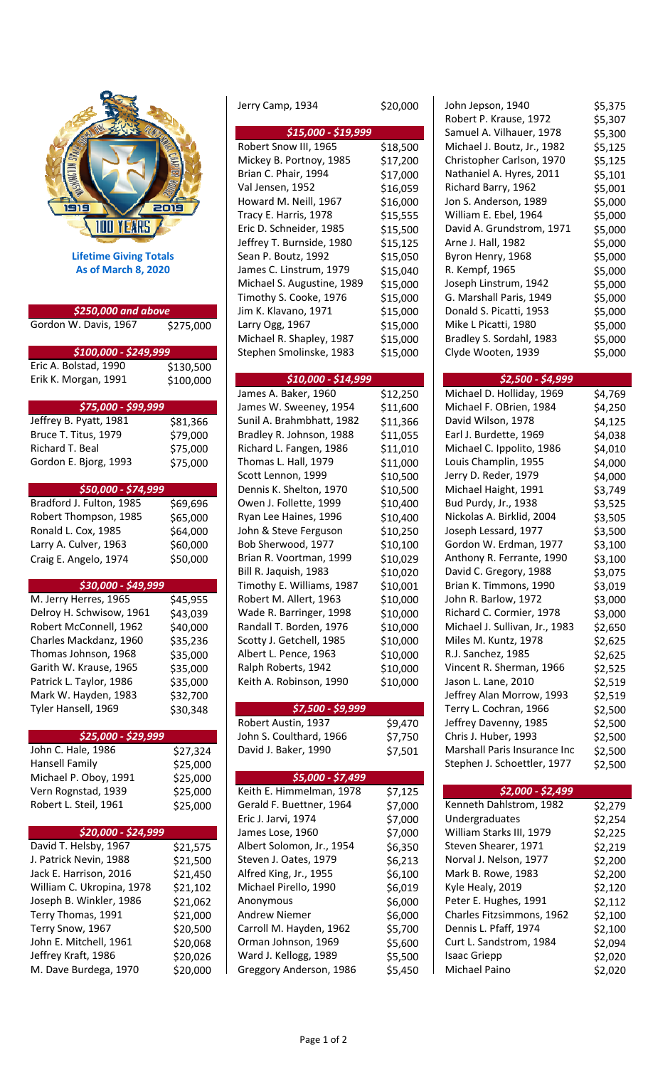

| \$250,000 and above       |           | Jim K. Klavano, 1971      |  |
|---------------------------|-----------|---------------------------|--|
| Gordon W. Davis, 1967     | \$275,000 | Larry Ogg, 1967           |  |
|                           |           | Michael R. Shapley, 1987  |  |
| \$100,000 - \$249,999     |           | Stephen Smolinske, 1983   |  |
| Eric A. Bolstad, 1990     | \$130,500 |                           |  |
| Erik K. Morgan, 1991      | \$100,000 | \$10,000 - \$14,999       |  |
|                           |           | James A. Baker, 1960      |  |
| \$75,000 - \$99,999       |           | James W. Sweeney, 1954    |  |
| Jeffrey B. Pyatt, 1981    | \$81,366  | Sunil A. Brahmbhatt, 1982 |  |
| Bruce T. Titus, 1979      | \$79,000  | Bradley R. Johnson, 1988  |  |
| Richard T. Beal           | \$75,000  | Richard L. Fangen, 1986   |  |
| Gordon E. Bjorg, 1993     | \$75,000  | Thomas L. Hall, 1979      |  |
|                           |           | Scott Lennon, 1999        |  |
| \$50,000 - \$74,999       |           | Dennis K. Shelton, 1970   |  |
| Bradford J. Fulton, 1985  | \$69,696  | Owen J. Follette, 1999    |  |
| Robert Thompson, 1985     | \$65,000  | Ryan Lee Haines, 1996     |  |
| Ronald L. Cox, 1985       | \$64,000  | John & Steve Ferguson     |  |
| Larry A. Culver, 1963     | \$60,000  | Bob Sherwood, 1977        |  |
| Craig E. Angelo, 1974     | \$50,000  | Brian R. Voortman, 1999   |  |
|                           |           | Bill R. Jaquish, 1983     |  |
| \$30,000 - \$49,999       |           | Timothy E. Williams, 1987 |  |
| M. Jerry Herres, 1965     | \$45,955  | Robert M. Allert, 1963    |  |
| Delroy H. Schwisow, 1961  | \$43,039  | Wade R. Barringer, 1998   |  |
| Robert McConnell, 1962    | \$40,000  | Randall T. Borden, 1976   |  |
| Charles Mackdanz, 1960    | \$35,236  | Scotty J. Getchell, 1985  |  |
| Thomas Johnson, 1968      | \$35,000  | Albert L. Pence, 1963     |  |
| Garith W. Krause, 1965    | \$35,000  | Ralph Roberts, 1942       |  |
| Patrick L. Taylor, 1986   | \$35,000  | Keith A. Robinson, 1990   |  |
| Mark W. Hayden, 1983      | \$32,700  |                           |  |
| Tyler Hansell, 1969       | \$30,348  | \$7,500 - \$9,999         |  |
|                           |           | Robert Austin, 1937       |  |
| \$25,000 - \$29,999       |           | John S. Coulthard, 1966   |  |
| John C. Hale, 1986        | \$27,324  | David J. Baker, 1990      |  |
| Hansell Family            | \$25,000  |                           |  |
| Michael P. Oboy, 1991     | \$25,000  | \$5,000 - \$7,499         |  |
| Vern Rognstad, 1939       | \$25,000  | Keith E. Himmelman, 1978  |  |
| Robert L. Steil, 1961     | \$25,000  | Gerald F. Buettner, 1964  |  |
|                           |           | Eric J. Jarvi, 1974       |  |
| \$20,000 - \$24,999       |           | James Lose, 1960          |  |
| David T. Helsby, 1967     | \$21,575  | Albert Solomon, Jr., 1954 |  |
| J. Patrick Nevin, 1988    | \$21,500  | Steven J. Oates, 1979     |  |
| Jack E. Harrison, 2016    | \$21,450  | Alfred King, Jr., 1955    |  |
| William C. Ukropina, 1978 | \$21,102  | Michael Pirello, 1990     |  |
| Joseph B. Winkler, 1986   | \$21,062  | Anonymous                 |  |
| Terry Thomas, 1991        | \$21,000  | <b>Andrew Niemer</b>      |  |
| Terry Snow, 1967          | \$20,500  | Carroll M. Hayden, 1962   |  |
| John E. Mitchell, 1961    | \$20,068  | Orman Johnson, 1969       |  |
| Jeffrey Kraft, 1986       | \$20,026  | Ward J. Kellogg, 1989     |  |
| M. Dave Burdega, 1970     | \$20,000  | Greggory Anderson, 1986   |  |

|                               |                        | Jerry Camp, 1934                                      | \$20,000             | John Jepson, 1940                                | \$5,375            |
|-------------------------------|------------------------|-------------------------------------------------------|----------------------|--------------------------------------------------|--------------------|
|                               |                        |                                                       |                      | Robert P. Krause, 1972                           | \$5,307            |
|                               |                        | \$15,000 - \$19,999                                   |                      | Samuel A. Vilhauer, 1978                         | \$5,300            |
|                               |                        | Robert Snow III, 1965                                 | \$18,500             | Michael J. Boutz, Jr., 1982                      | \$5,125            |
|                               |                        | Mickey B. Portnoy, 1985                               | \$17,200             | Christopher Carlson, 1970                        | \$5,125            |
|                               |                        | Brian C. Phair, 1994                                  | \$17,000             | Nathaniel A. Hyres, 2011                         | \$5,101            |
|                               |                        | Val Jensen, 1952                                      | \$16,059             | Richard Barry, 1962                              | \$5,001            |
| פופו                          | 2019                   | Howard M. Neill, 1967                                 | \$16,000             | Jon S. Anderson, 1989                            | \$5,000            |
| 100 YEARS                     |                        | Tracy E. Harris, 1978                                 | \$15,555             | William E. Ebel, 1964                            | \$5,000            |
|                               |                        | Eric D. Schneider, 1985                               | \$15,500             | David A. Grundstrom, 1971                        | \$5,000            |
|                               |                        | Jeffrey T. Burnside, 1980                             | \$15,125             | Arne J. Hall, 1982                               | \$5,000            |
| <b>Lifetime Giving Totals</b> |                        | Sean P. Boutz, 1992                                   | \$15,050             | Byron Henry, 1968                                | \$5,000            |
| <b>As of March 8, 2020</b>    |                        | James C. Linstrum, 1979<br>Michael S. Augustine, 1989 | \$15,040             | R. Kempf, 1965                                   | \$5,000            |
|                               |                        | Timothy S. Cooke, 1976                                | \$15,000             | Joseph Linstrum, 1942                            | \$5,000            |
| \$250,000 and above           |                        |                                                       | \$15,000             | G. Marshall Paris, 1949                          | \$5,000            |
|                               |                        | Jim K. Klavano, 1971                                  | \$15,000             | Donald S. Picatti, 1953                          | \$5,000            |
| Gordon W. Davis, 1967         | \$275,000              | Larry Ogg, 1967<br>Michael R. Shapley, 1987           | \$15,000             | Mike L Picatti, 1980<br>Bradley S. Sordahl, 1983 | \$5,000            |
| \$100,000 - \$249,999         |                        |                                                       | \$15,000             | Clyde Wooten, 1939                               | \$5,000            |
| Eric A. Bolstad, 1990         |                        | Stephen Smolinske, 1983                               | \$15,000             |                                                  | \$5,000            |
| Erik K. Morgan, 1991          | \$130,500<br>\$100,000 | \$10,000 - \$14,999                                   |                      | \$2,500 - \$4,999                                |                    |
|                               |                        | James A. Baker, 1960                                  |                      | Michael D. Holliday, 1969                        |                    |
| \$75,000 - \$99,999           |                        | James W. Sweeney, 1954                                | \$12,250             | Michael F. OBrien, 1984                          | \$4,769            |
| Jeffrey B. Pyatt, 1981        |                        | Sunil A. Brahmbhatt, 1982                             | \$11,600             | David Wilson, 1978                               | \$4,250            |
| Bruce T. Titus, 1979          | \$81,366               | Bradley R. Johnson, 1988                              | \$11,366             | Earl J. Burdette, 1969                           | \$4,125            |
| Richard T. Beal               | \$79,000               | Richard L. Fangen, 1986                               | \$11,055             | Michael C. Ippolito, 1986                        | \$4,038            |
| Gordon E. Bjorg, 1993         | \$75,000               | Thomas L. Hall, 1979                                  | \$11,010             | Louis Champlin, 1955                             | \$4,010            |
|                               | \$75,000               | Scott Lennon, 1999                                    | \$11,000<br>\$10,500 | Jerry D. Reder, 1979                             | \$4,000<br>\$4,000 |
| \$50,000 - \$74,999           |                        | Dennis K. Shelton, 1970                               | \$10,500             | Michael Haight, 1991                             | \$3,749            |
| Bradford J. Fulton, 1985      | \$69,696               | Owen J. Follette, 1999                                | \$10,400             | Bud Purdy, Jr., 1938                             | \$3,525            |
| Robert Thompson, 1985         | \$65,000               | Ryan Lee Haines, 1996                                 | \$10,400             | Nickolas A. Birklid, 2004                        | \$3,505            |
| Ronald L. Cox, 1985           | \$64,000               | John & Steve Ferguson                                 | \$10,250             | Joseph Lessard, 1977                             | \$3,500            |
| Larry A. Culver, 1963         | \$60,000               | Bob Sherwood, 1977                                    | \$10,100             | Gordon W. Erdman, 1977                           | \$3,100            |
| Craig E. Angelo, 1974         | \$50,000               | Brian R. Voortman, 1999                               | \$10,029             | Anthony R. Ferrante, 1990                        | \$3,100            |
|                               |                        | Bill R. Jaquish, 1983                                 | \$10,020             | David C. Gregory, 1988                           | \$3,075            |
| \$30,000 - \$49,999           |                        | Timothy E. Williams, 1987                             | \$10,001             | Brian K. Timmons, 1990                           | \$3,019            |
| M. Jerry Herres, 1965         | \$45,955               | Robert M. Allert, 1963                                | \$10,000             | John R. Barlow, 1972                             | \$3,000            |
| Delroy H. Schwisow, 1961      | \$43,039               | Wade R. Barringer, 1998                               | \$10,000             | Richard C. Cormier, 1978                         | \$3,000            |
| Robert McConnell, 1962        | \$40,000               | Randall T. Borden, 1976                               | \$10,000             | Michael J. Sullivan, Jr., 1983                   | \$2,650            |
| Charles Mackdanz, 1960        | \$35,236               | Scotty J. Getchell, 1985                              | \$10,000             | Miles M. Kuntz, 1978                             | \$2,625            |
| Thomas Johnson, 1968          | \$35,000               | Albert L. Pence, 1963                                 | \$10,000             | R.J. Sanchez, 1985                               | \$2,625            |
| Garith W. Krause, 1965        | \$35,000               | Ralph Roberts, 1942                                   | \$10,000             | Vincent R. Sherman, 1966                         | \$2,525            |
| Patrick L. Taylor, 1986       | \$35,000               | Keith A. Robinson, 1990                               | \$10,000             | Jason L. Lane, 2010                              | \$2,519            |
| Mark W. Hayden, 1983          | \$32,700               |                                                       |                      | Jeffrey Alan Morrow, 1993                        | \$2,519            |
| Tyler Hansell, 1969           | \$30,348               | \$7,500 - \$9,999                                     |                      | Terry L. Cochran, 1966                           | \$2,500            |
|                               |                        | Robert Austin, 1937                                   | \$9,470              | Jeffrey Davenny, 1985                            | \$2,500            |
| \$25,000 - \$29,999           |                        | John S. Coulthard, 1966                               | \$7,750              | Chris J. Huber, 1993                             | \$2,500            |
| John C. Hale, 1986            | \$27,324               | David J. Baker, 1990                                  | \$7,501              | Marshall Paris Insurance Inc                     | \$2,500            |
| Hansell Family                | \$25,000               |                                                       |                      | Stephen J. Schoettler, 1977                      | \$2,500            |
| Michael P. Oboy, 1991         | \$25,000               | \$5,000 - \$7,499                                     |                      |                                                  |                    |
| Vern Rognstad, 1939           | \$25,000               | Keith E. Himmelman, 1978                              | \$7,125              | $$2,000 - $2,499$                                |                    |
| Robert L. Steil, 1961         | \$25,000               | Gerald F. Buettner, 1964                              | \$7,000              | Kenneth Dahlstrom, 1982                          | \$2,279            |
|                               |                        | Eric J. Jarvi, 1974                                   | \$7,000              | Undergraduates                                   | \$2,254            |
| \$20,000 - \$24,999           |                        | James Lose, 1960                                      | \$7,000              | William Starks III, 1979                         | \$2,225            |
| David T. Helsby, 1967         | \$21,575               | Albert Solomon, Jr., 1954                             | \$6,350              | Steven Shearer, 1971                             | \$2,219            |
| J. Patrick Nevin, 1988        | \$21,500               | Steven J. Oates, 1979                                 | \$6,213              | Norval J. Nelson, 1977                           | \$2,200            |
| Jack E. Harrison, 2016        | \$21,450               | Alfred King, Jr., 1955                                | \$6,100              | Mark B. Rowe, 1983                               | \$2,200            |
| William C. Ukropina, 1978     | \$21,102               | Michael Pirello, 1990                                 | \$6,019              | Kyle Healy, 2019                                 | \$2,120            |
| Joseph B. Winkler, 1986       | \$21,062               | Anonymous                                             | \$6,000              | Peter E. Hughes, 1991                            | \$2,112            |
| Terry Thomas, 1991            | \$21,000               | <b>Andrew Niemer</b>                                  | \$6,000              | Charles Fitzsimmons, 1962                        | \$2,100            |
| Terry Snow, 1967              | \$20,500               | Carroll M. Hayden, 1962                               | \$5,700              | Dennis L. Pfaff, 1974                            | \$2,100            |
| John E. Mitchell, 1961        | \$20,068               | Orman Johnson, 1969                                   | \$5,600              | Curt L. Sandstrom, 1984                          | \$2,094            |
| Jeffrey Kraft, 1986           | \$20,026               | Ward J. Kellogg, 1989                                 | \$5,500              | <b>Isaac Griepp</b>                              | \$2,020            |
| M. Dave Burdega, 1970         | \$20,000               | Greggory Anderson, 1986                               | \$5,450              | Michael Paino                                    | \$2,020            |
|                               |                        |                                                       |                      |                                                  |                    |

## *\$2,500 ‐ \$4,999*

| Michael D. Holliday, 1969      | \$4,769 |
|--------------------------------|---------|
| Michael F. OBrien, 1984        | \$4,250 |
| David Wilson, 1978             | \$4,125 |
| Earl J. Burdette, 1969         | \$4,038 |
| Michael C. Ippolito, 1986      | \$4,010 |
| Louis Champlin, 1955           | \$4,000 |
| Jerry D. Reder, 1979           | \$4,000 |
| Michael Haight, 1991           | \$3,749 |
| Bud Purdy, Jr., 1938           | \$3,525 |
| Nickolas A. Birklid, 2004      | \$3,505 |
| Joseph Lessard, 1977           | \$3,500 |
| Gordon W. Erdman, 1977         | \$3,100 |
| Anthony R. Ferrante, 1990      | \$3,100 |
| David C. Gregory, 1988         | \$3,075 |
| Brian K. Timmons, 1990         | \$3,019 |
| John R. Barlow, 1972           | \$3,000 |
| Richard C. Cormier, 1978       | \$3,000 |
| Michael J. Sullivan, Jr., 1983 | \$2,650 |
| Miles M. Kuntz, 1978           | \$2,625 |
| R.J. Sanchez, 1985             | \$2,625 |
| Vincent R. Sherman, 1966       | \$2,525 |
| Jason L. Lane, 2010            | \$2,519 |
| Jeffrey Alan Morrow, 1993      | \$2,519 |
| Terry L. Cochran, 1966         | \$2,500 |
| Jeffrey Davenny, 1985          | \$2,500 |
| Chris J. Huber, 1993           | \$2,500 |
| Marshall Paris Insurance Inc   | \$2,500 |
| Stephen J. Schoettler, 1977    | \$2,500 |
|                                |         |

## *\$2,000 ‐ \$2,499*

| Kenneth Dahlstrom, 1982   | \$2,279 |
|---------------------------|---------|
| Undergraduates            | \$2,254 |
| William Starks III, 1979  | \$2,225 |
| Steven Shearer, 1971      | \$2,219 |
| Norval J. Nelson, 1977    | \$2,200 |
| Mark B. Rowe, 1983        | \$2,200 |
| Kyle Healy, 2019          | \$2,120 |
| Peter E. Hughes, 1991     | \$2,112 |
| Charles Fitzsimmons, 1962 | \$2,100 |
| Dennis L. Pfaff, 1974     | \$2,100 |
| Curt L. Sandstrom, 1984   | \$2,094 |
| <b>Isaac Griepp</b>       | \$2,020 |
| Michael Paino             | S2.020  |